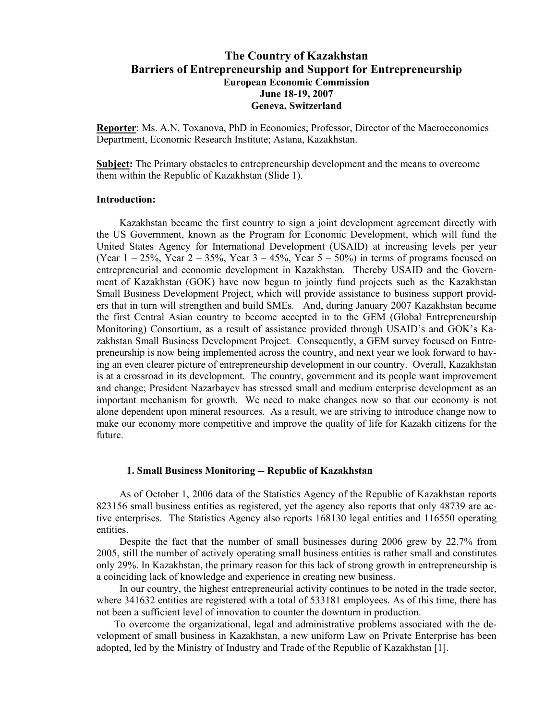# **The Country of Kazakhstan Barriers of Entrepreneurship and Support for Entrepreneurship European Economic Commission June 18-19, 2007 Geneva, Switzerland**

**Reporter**: Ms. A.N. Toxanova, PhD in Economics; Professor, Director of the Macroeconomics Department, Economic Research Institute; Astana, Kazakhstan.

**Subject:** The Primary obstacles to entrepreneurship development and the means to overcome them within the Republic of Kazakhstan (Slide 1).

#### **Introduction:**

Kazakhstan became the first country to sign a joint development agreement directly with the US Government, known as the Program for Economic Development, which will fund the United States Agency for International Development (USAID) at increasing levels per year (Year  $1 - 25\%$ , Year  $2 - 35\%$ , Year  $3 - 45\%$ , Year  $5 - 50\%$ ) in terms of programs focused on entrepreneurial and economic development in Kazakhstan. Thereby USAID and the Government of Kazakhstan (GOK) have now begun to jointly fund projects such as the Kazakhstan Small Business Development Project, which will provide assistance to business support providers that in turn will strengthen and build SMEs. And, during January 2007 Kazakhstan became the first Central Asian country to become accepted in to the GEM (Global Entrepreneurship Monitoring) Consortium, as a result of assistance provided through USAID's and GOK's Kazakhstan Small Business Development Project. Consequently, a GEM survey focused on Entrepreneurship is now being implemented across the country, and next year we look forward to having an even clearer picture of entrepreneurship development in our country. Overall, Kazakhstan is at a crossroad in its development. The country, government and its people want improvement and change; President Nazarbayev has stressed small and medium enterprise development as an important mechanism for growth. We need to make changes now so that our economy is not alone dependent upon mineral resources. As a result, we are striving to introduce change now to make our economy more competitive and improve the quality of life for Kazakh citizens for the future.

#### **1. Small Business Monitoring -- Republic of Kazakhstan**

As of October 1, 2006 data of the Statistics Agency of the Republic of Kazakhstan reports 823156 small business entities as registered, yet the agency also reports that only 48739 are active enterprises. The Statistics Agency also reports 168130 legal entities and 116550 operating entities.

Despite the fact that the number of small businesses during 2006 grew by 22.7% from 2005, still the number of actively operating small business entities is rather small and constitutes only 29%. In Kazakhstan, the primary reason for this lack of strong growth in entrepreneurship is a coinciding lack of knowledge and experience in creating new business.

In our country, the highest entrepreneurial activity continues to be noted in the trade sector, where 341632 entities are registered with a total of 533181 employees. As of this time, there has not been a sufficient level of innovation to counter the downturn in production.

 To overcome the organizational, legal and administrative problems associated with the development of small business in Kazakhstan, a new uniform Law on Private Enterprise has been adopted, led by the Ministry of Industry and Trade of the Republic of Kazakhstan [1].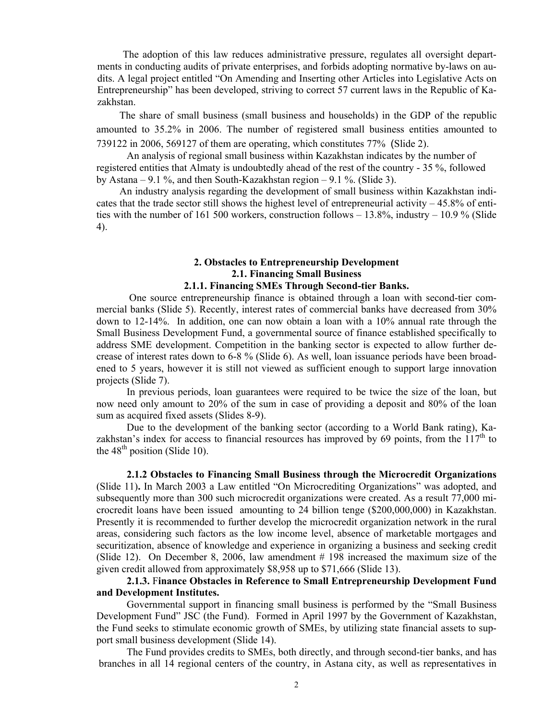The adoption of this law reduces administrative pressure, regulates all oversight departments in conducting audits of private enterprises, and forbids adopting normative by-laws on audits. A legal project entitled "On Amending and Inserting other Articles into Legislative Acts on Entrepreneurship" has been developed, striving to correct 57 current laws in the Republic of Kazakhstan.

The share of small business (small business and households) in the GDP of the republic amounted to 35.2% in 2006. The number of registered small business entities amounted to 739122 in 2006, 569127 of them are operating, which constitutes 77% (Slide 2).

 An analysis of regional small business within Kazakhstan indicates by the number of registered entities that Almaty is undoubtedly ahead of the rest of the country - 35 %, followed by Astana – 9.1 %, and then South-Kazakhstan region – 9.1 %. (Slide 3).

An industry analysis regarding the development of small business within Kazakhstan indicates that the trade sector still shows the highest level of entrepreneurial activity – 45.8% of entities with the number of 161 500 workers, construction follows – 13.8%, industry – 10.9 % (Slide 4).

## **2. Obstacles to Entrepreneurship Development 2.1. Financing Small Business**

## **2.1.1. Financing SMEs Through Second-tier Banks.**

 One source entrepreneurship finance is obtained through a loan with second-tier commercial banks (Slide 5). Recently, interest rates of commercial banks have decreased from 30% down to 12-14%. In addition, one can now obtain a loan with a 10% annual rate through the Small Business Development Fund, a governmental source of finance established specifically to address SME development. Competition in the banking sector is expected to allow further decrease of interest rates down to 6-8 % (Slide 6). As well, loan issuance periods have been broadened to 5 years, however it is still not viewed as sufficient enough to support large innovation projects (Slide 7).

In previous periods, loan guarantees were required to be twice the size of the loan, but now need only amount to 20% of the sum in case of providing a deposit and 80% of the loan sum as acquired fixed assets (Slides 8-9).

Due to the development of the banking sector (according to a World Bank rating), Kazakhstan's index for access to financial resources has improved by 69 points, from the  $117<sup>th</sup>$  to the  $48<sup>th</sup>$  position (Slide 10).

**2.1.2 Obstacles to Financing Small Business through the Microcredit Organizations**  (Slide 11)**.** In March 2003 a Law entitled "On Microcrediting Organizations" was adopted, and subsequently more than 300 such microcredit organizations were created. As a result 77,000 microcredit loans have been issued amounting to 24 billion tenge (\$200,000,000) in Kazakhstan. Presently it is recommended to further develop the microcredit organization network in the rural areas, considering such factors as the low income level, absence of marketable mortgages and securitization, absence of knowledge and experience in organizing a business and seeking credit (Slide 12). On December 8, 2006, law amendment # 198 increased the maximum size of the given credit allowed from approximately \$8,958 up to \$71,666 (Slide 13).

# **2.1.3.** F**inance Obstacles in Reference to Small Entrepreneurship Development Fund and Development Institutes.**

Governmental support in financing small business is performed by the "Small Business Development Fund" JSC (the Fund). Formed in April 1997 by the Government of Kazakhstan, the Fund seeks to stimulate economic growth of SMEs, by utilizing state financial assets to support small business development (Slide 14).

 The Fund provides credits to SMEs, both directly, and through second-tier banks, and has branches in all 14 regional centers of the country, in Astana city, as well as representatives in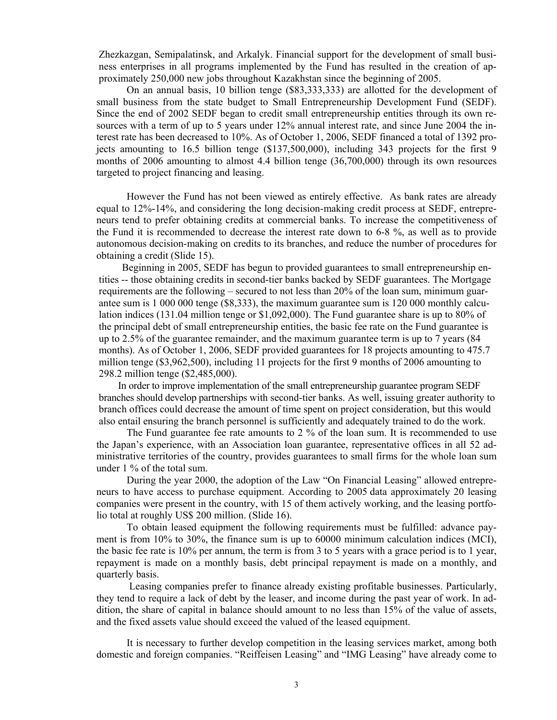Zhezkazgan, Semipalatinsk, and Arkalyk. Financial support for the development of small business enterprises in all programs implemented by the Fund has resulted in the creation of approximately 250,000 new jobs throughout Kazakhstan since the beginning of 2005.

On an annual basis, 10 billion tenge (\$83,333,333) are allotted for the development of small business from the state budget to Small Entrepreneurship Development Fund (SEDF). Since the end of 2002 SEDF began to credit small entrepreneurship entities through its own resources with a term of up to 5 years under 12% annual interest rate, and since June 2004 the interest rate has been decreased to 10%. As of October 1, 2006, SEDF financed a total of 1392 projects amounting to 16.5 billion tenge (\$137,500,000), including 343 projects for the first 9 months of 2006 amounting to almost 4.4 billion tenge (36,700,000) through its own resources targeted to project financing and leasing.

However the Fund has not been viewed as entirely effective. As bank rates are already equal to 12%-14%, and considering the long decision-making credit process at SEDF, entrepreneurs tend to prefer obtaining credits at commercial banks. To increase the competitiveness of the Fund it is recommended to decrease the interest rate down to 6-8 %, as well as to provide autonomous decision-making on credits to its branches, and reduce the number of procedures for obtaining a credit (Slide 15).

 Beginning in 2005, SEDF has begun to provided guarantees to small entrepreneurship entities -- those obtaining credits in second-tier banks backed by SEDF guarantees. The Mortgage requirements are the following – secured to not less than 20% of the loan sum, minimum guarantee sum is 1 000 000 tenge (\$8,333), the maximum guarantee sum is 120 000 monthly calculation indices (131.04 million tenge or \$1,092,000). The Fund guarantee share is up to 80% of the principal debt of small entrepreneurship entities, the basic fee rate on the Fund guarantee is up to 2.5% of the guarantee remainder, and the maximum guarantee term is up to 7 years (84 months). As of October 1, 2006, SEDF provided guarantees for 18 projects amounting to 475.7 million tenge (\$3,962,500), including 11 projects for the first 9 months of 2006 amounting to 298.2 million tenge (\$2,485,000).

 In order to improve implementation of the small entrepreneurship guarantee program SEDF branches should develop partnerships with second-tier banks. As well, issuing greater authority to branch offices could decrease the amount of time spent on project consideration, but this would also entail ensuring the branch personnel is sufficiently and adequately trained to do the work.

The Fund guarantee fee rate amounts to 2 % of the loan sum. It is recommended to use the Japan's experience, with an Association loan guarantee, representative offices in all 52 administrative territories of the country, provides guarantees to small firms for the whole loan sum under 1 % of the total sum.

During the year 2000, the adoption of the Law "On Financial Leasing" allowed entrepreneurs to have access to purchase equipment. According to 2005 data approximately 20 leasing companies were present in the country, with 15 of them actively working, and the leasing portfolio total at roughly US\$ 200 million. (Slide 16).

To obtain leased equipment the following requirements must be fulfilled: advance payment is from 10% to 30%, the finance sum is up to 60000 minimum calculation indices (MCI), the basic fee rate is 10% per annum, the term is from 3 to 5 years with a grace period is to 1 year, repayment is made on a monthly basis, debt principal repayment is made on a monthly, and quarterly basis.

 Leasing companies prefer to finance already existing profitable businesses. Particularly, they tend to require a lack of debt by the leaser, and income during the past year of work. In addition, the share of capital in balance should amount to no less than 15% of the value of assets, and the fixed assets value should exceed the valued of the leased equipment.

It is necessary to further develop competition in the leasing services market, among both domestic and foreign companies. "Reiffeisen Leasing" and "IMG Leasing" have already come to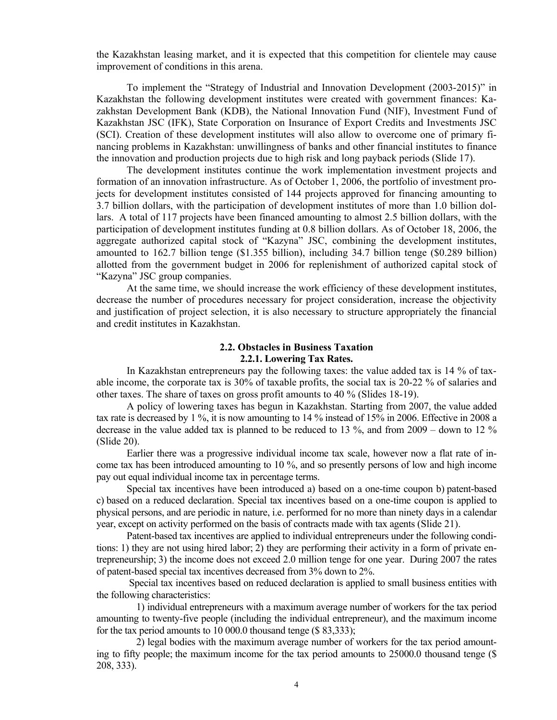the Kazakhstan leasing market, and it is expected that this competition for clientele may cause improvement of conditions in this arena.

To implement the "Strategy of Industrial and Innovation Development (2003-2015)" in Kazakhstan the following development institutes were created with government finances: Kazakhstan Development Bank (KDB), the National Innovation Fund (NIF), Investment Fund of Kazakhstan JSC (IFK), State Corporation on Insurance of Export Credits and Investments JSC (SCI). Creation of these development institutes will also allow to overcome one of primary financing problems in Kazakhstan: unwillingness of banks and other financial institutes to finance the innovation and production projects due to high risk and long payback periods (Slide 17).

The development institutes continue the work implementation investment projects and formation of an innovation infrastructure. As of October 1, 2006, the portfolio of investment projects for development institutes consisted of 144 projects approved for financing amounting to 3.7 billion dollars, with the participation of development institutes of more than 1.0 billion dollars. A total of 117 projects have been financed amounting to almost 2.5 billion dollars, with the participation of development institutes funding at 0.8 billion dollars. As of October 18, 2006, the aggregate authorized capital stock of "Kazyna" JSC, combining the development institutes, amounted to 162.7 billion tenge (\$1.355 billion), including 34.7 billion tenge (\$0.289 billion) allotted from the government budget in 2006 for replenishment of authorized capital stock of "Kazyna" JSC group companies.

At the same time, we should increase the work efficiency of these development institutes, decrease the number of procedures necessary for project consideration, increase the objectivity and justification of project selection, it is also necessary to structure appropriately the financial and credit institutes in Kazakhstan.

## **2.2. Obstacles in Business Taxation 2.2.1. Lowering Tax Rates.**

In Kazakhstan entrepreneurs pay the following taxes: the value added tax is 14 % of taxable income, the corporate tax is 30% of taxable profits, the social tax is 20-22 % of salaries and other taxes. The share of taxes on gross profit amounts to 40 % (Slides 18-19).

A policy of lowering taxes has begun in Kazakhstan. Starting from 2007, the value added tax rate is decreased by 1 %, it is now amounting to 14 % instead of 15% in 2006. Effective in 2008 a decrease in the value added tax is planned to be reduced to 13 %, and from 2009 – down to 12 % (Slide 20).

Earlier there was a progressive individual income tax scale, however now a flat rate of income tax has been introduced amounting to 10 %, and so presently persons of low and high income pay out equal individual income tax in percentage terms.

Special tax incentives have been introduced a) based on a one-time coupon b) patent-based c) based on a reduced declaration. Special tax incentives based on a one-time coupon is applied to physical persons, and are periodic in nature, i.e. performed for no more than ninety days in a calendar year, except on activity performed on the basis of contracts made with tax agents (Slide 21).

Patent-based tax incentives are applied to individual entrepreneurs under the following conditions: 1) they are not using hired labor; 2) they are performing their activity in a form of private entrepreneurship; 3) the income does not exceed 2.0 million tenge for one year. During 2007 the rates of patent-based special tax incentives decreased from 3% down to 2%.

 Special tax incentives based on reduced declaration is applied to small business entities with the following characteristics:

 1) individual entrepreneurs with a maximum average number of workers for the tax period amounting to twenty-five people (including the individual entrepreneur), and the maximum income for the tax period amounts to 10 000.0 thousand tenge (\$ 83,333);

 2) legal bodies with the maximum average number of workers for the tax period amounting to fifty people; the maximum income for the tax period amounts to 25000.0 thousand tenge (\$ 208, 333).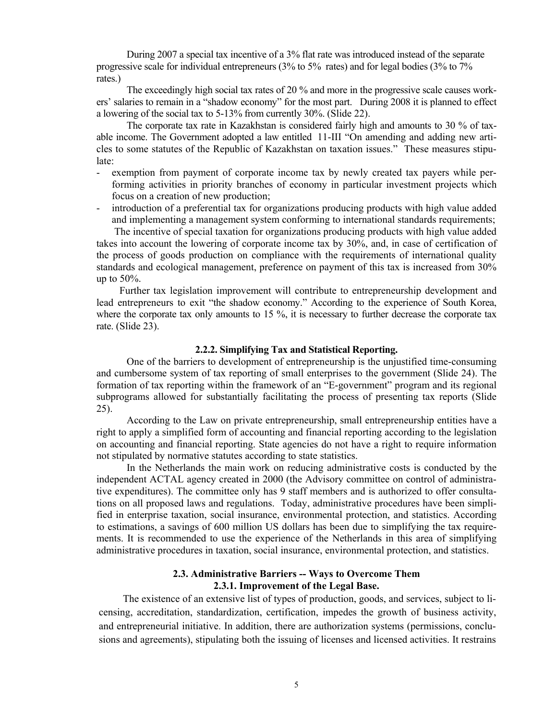During 2007 a special tax incentive of a 3% flat rate was introduced instead of the separate progressive scale for individual entrepreneurs (3% to 5% rates) and for legal bodies (3% to 7% rates.)

The exceedingly high social tax rates of 20 % and more in the progressive scale causes workers' salaries to remain in a "shadow economy" for the most part. During 2008 it is planned to effect a lowering of the social tax to 5-13% from currently 30%. (Slide 22).

The corporate tax rate in Kazakhstan is considered fairly high and amounts to 30 % of taxable income. The Government adopted a law entitled 11-III "On amending and adding new articles to some statutes of the Republic of Kazakhstan on taxation issues." These measures stipulate:

- exemption from payment of corporate income tax by newly created tax payers while performing activities in priority branches of economy in particular investment projects which focus on a creation of new production;
- introduction of a preferential tax for organizations producing products with high value added and implementing a management system conforming to international standards requirements;

 The incentive of special taxation for organizations producing products with high value added takes into account the lowering of corporate income tax by 30%, and, in case of certification of the process of goods production on compliance with the requirements of international quality standards and ecological management, preference on payment of this tax is increased from 30% up to 50%.

 Further tax legislation improvement will contribute to entrepreneurship development and lead entrepreneurs to exit "the shadow economy." According to the experience of South Korea, where the corporate tax only amounts to 15 %, it is necessary to further decrease the corporate tax rate. (Slide 23).

## **2.2.2. Simplifying Tax and Statistical Reporting.**

One of the barriers to development of entrepreneurship is the unjustified time-consuming and cumbersome system of tax reporting of small enterprises to the government (Slide 24). The formation of tax reporting within the framework of an "E-government" program and its regional subprograms allowed for substantially facilitating the process of presenting tax reports (Slide 25).

According to the Law on private entrepreneurship, small entrepreneurship entities have a right to apply a simplified form of accounting and financial reporting according to the legislation on accounting and financial reporting. State agencies do not have a right to require information not stipulated by normative statutes according to state statistics.

In the Netherlands the main work on reducing administrative costs is conducted by the independent ACTAL agency created in 2000 (the Advisory committee on control of administrative expenditures). The committee only has 9 staff members and is authorized to offer consultations on all proposed laws and regulations. Today, administrative procedures have been simplified in enterprise taxation, social insurance, environmental protection, and statistics. According to estimations, a savings of 600 million US dollars has been due to simplifying the tax requirements. It is recommended to use the experience of the Netherlands in this area of simplifying administrative procedures in taxation, social insurance, environmental protection, and statistics.

#### **2.3. Administrative Barriers -- Ways to Overcome Them 2.3.1. Improvement of the Legal Base.**

The existence of an extensive list of types of production, goods, and services, subject to licensing, accreditation, standardization, certification, impedes the growth of business activity, and entrepreneurial initiative. In addition, there are authorization systems (permissions, conclusions and agreements), stipulating both the issuing of licenses and licensed activities. It restrains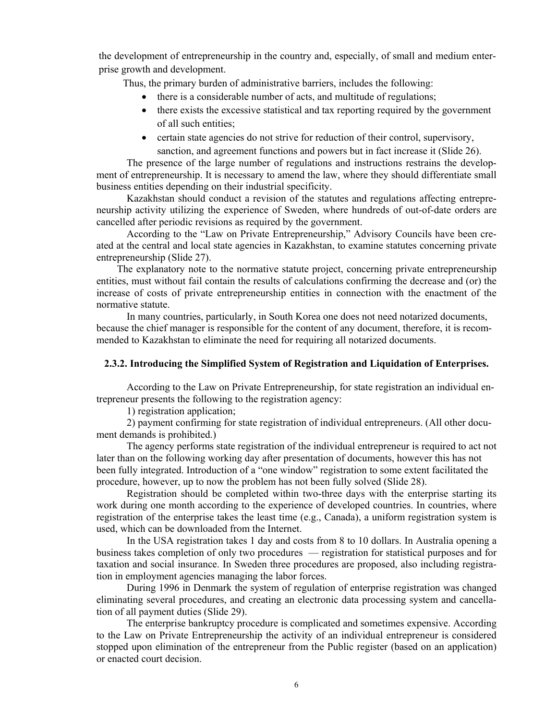the development of entrepreneurship in the country and, especially, of small and medium enterprise growth and development.

Thus, the primary burden of administrative barriers, includes the following:

- there is a considerable number of acts, and multitude of regulations;
- there exists the excessive statistical and tax reporting required by the government of all such entities;
- certain state agencies do not strive for reduction of their control, supervisory, sanction, and agreement functions and powers but in fact increase it (Slide 26).

The presence of the large number of regulations and instructions restrains the development of entrepreneurship. It is necessary to amend the law, where they should differentiate small business entities depending on their industrial specificity.

Kazakhstan should conduct a revision of the statutes and regulations affecting entrepreneurship activity utilizing the experience of Sweden, where hundreds of out-of-date orders are cancelled after periodic revisions as required by the government.

According to the "Law on Private Entrepreneurship," Advisory Councils have been created at the central and local state agencies in Kazakhstan, to examine statutes concerning private entrepreneurship (Slide 27).

 The explanatory note to the normative statute project, concerning private entrepreneurship entities, must without fail contain the results of calculations confirming the decrease and (or) the increase of costs of private entrepreneurship entities in connection with the enactment of the normative statute.

In many countries, particularly, in South Korea one does not need notarized documents, because the chief manager is responsible for the content of any document, therefore, it is recommended to Kazakhstan to eliminate the need for requiring all notarized documents.

### **2.3.2. Introducing the Simplified System of Registration and Liquidation of Enterprises.**

According to the Law on Private Entrepreneurship, for state registration an individual entrepreneur presents the following to the registration agency:

1) registration application;

2) payment confirming for state registration of individual entrepreneurs. (All other document demands is prohibited.)

The agency performs state registration of the individual entrepreneur is required to act not later than on the following working day after presentation of documents, however this has not been fully integrated. Introduction of a "one window" registration to some extent facilitated the procedure, however, up to now the problem has not been fully solved (Slide 28).

Registration should be completed within two-three days with the enterprise starting its work during one month according to the experience of developed countries. In countries, where registration of the enterprise takes the least time (e.g., Canada), a uniform registration system is used, which can be downloaded from the Internet.

In the USA registration takes 1 day and costs from 8 to 10 dollars. In Australia opening a business takes completion of only two procedures — registration for statistical purposes and for taxation and social insurance. In Sweden three procedures are proposed, also including registration in employment agencies managing the labor forces.

During 1996 in Denmark the system of regulation of enterprise registration was changed eliminating several procedures, and creating an electronic data processing system and cancellation of all payment duties (Slide 29).

The enterprise bankruptcy procedure is complicated and sometimes expensive. According to the Law on Private Entrepreneurship the activity of an individual entrepreneur is considered stopped upon elimination of the entrepreneur from the Public register (based on an application) or enacted court decision.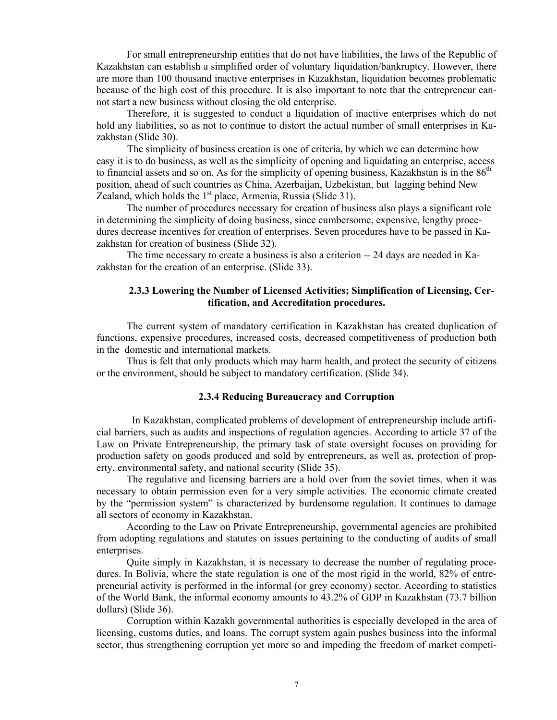For small entrepreneurship entities that do not have liabilities, the laws of the Republic of Kazakhstan can establish a simplified order of voluntary liquidation/bankruptcy. However, there are more than 100 thousand inactive enterprises in Kazakhstan, liquidation becomes problematic because of the high cost of this procedure. It is also important to note that the entrepreneur cannot start a new business without closing the old enterprise.

Therefore, it is suggested to conduct a liquidation of inactive enterprises which do not hold any liabilities, so as not to continue to distort the actual number of small enterprises in Kazakhstan (Slide 30).

The simplicity of business creation is one of criteria, by which we can determine how easy it is to do business, as well as the simplicity of opening and liquidating an enterprise, access to financial assets and so on. As for the simplicity of opening business, Kazakhstan is in the  $86<sup>th</sup>$ position, ahead of such countries as China, Azerbaijan, Uzbekistan, but lagging behind New Zealand, which holds the  $1<sup>st</sup>$  place, Armenia, Russia (Slide 31).

The number of procedures necessary for creation of business also plays a significant role in determining the simplicity of doing business, since cumbersome, expensive, lengthy procedures decrease incentives for creation of enterprises. Seven procedures have to be passed in Kazakhstan for creation of business (Slide 32).

The time necessary to create a business is also a criterion -- 24 days are needed in Kazakhstan for the creation of an enterprise. (Slide 33).

# **2.3.3 Lowering the Number of Licensed Activities; Simplification of Licensing, Certification, and Accreditation procedures.**

The current system of mandatory certification in Kazakhstan has created duplication of functions, expensive procedures, increased costs, decreased competitiveness of production both in the domestic and international markets.

Thus is felt that only products which may harm health, and protect the security of citizens or the environment, should be subject to mandatory certification. (Slide 34).

# **2.3.4 Reducing Bureaucracy and Corruption**

 In Kazakhstan, complicated problems of development of entrepreneurship include artificial barriers, such as audits and inspections of regulation agencies. According to article 37 of the Law on Private Entrepreneurship, the primary task of state oversight focuses on providing for production safety on goods produced and sold by entrepreneurs, as well as, protection of property, environmental safety, and national security (Slide 35).

The regulative and licensing barriers are a hold over from the soviet times, when it was necessary to obtain permission even for a very simple activities. The economic climate created by the "permission system" is characterized by burdensome regulation. It continues to damage all sectors of economy in Kazakhstan.

According to the Law on Private Entrepreneurship, governmental agencies are prohibited from adopting regulations and statutes on issues pertaining to the conducting of audits of small enterprises.

Quite simply in Kazakhstan, it is necessary to decrease the number of regulating procedures. In Bolivia, where the state regulation is one of the most rigid in the world, 82% of entrepreneurial activity is performed in the informal (or grey economy) sector. According to statistics of the World Bank, the informal economy amounts to 43.2% of GDP in Kazakhstan (73.7 billion dollars) (Slide 36).

Corruption within Kazakh governmental authorities is especially developed in the area of licensing, customs duties, and loans. The corrupt system again pushes business into the informal sector, thus strengthening corruption yet more so and impeding the freedom of market competi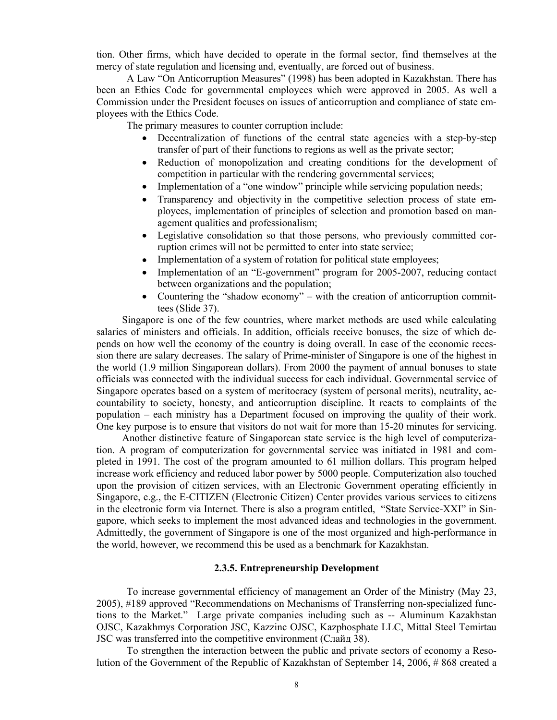tion. Other firms, which have decided to operate in the formal sector, find themselves at the mercy of state regulation and licensing and, eventually, are forced out of business.

A Law "On Anticorruption Measures" (1998) has been adopted in Kazakhstan. There has been an Ethics Code for governmental employees which were approved in 2005. As well a Commission under the President focuses on issues of anticorruption and compliance of state employees with the Ethics Code.

The primary measures to counter corruption include:

- Decentralization of functions of the central state agencies with a step-by-step transfer of part of their functions to regions as well as the private sector;
- Reduction of monopolization and creating conditions for the development of competition in particular with the rendering governmental services;
- Implementation of a "one window" principle while servicing population needs;
- Transparency and objectivity in the competitive selection process of state employees, implementation of principles of selection and promotion based on management qualities and professionalism;
- Legislative consolidation so that those persons, who previously committed corruption crimes will not be permitted to enter into state service;
- Implementation of a system of rotation for political state employees;
- Implementation of an "E-government" program for 2005-2007, reducing contact between organizations and the population;
- Countering the "shadow economy" with the creation of anticorruption committees (Slide 37).

 Singapore is one of the few countries, where market methods are used while calculating salaries of ministers and officials. In addition, officials receive bonuses, the size of which depends on how well the economy of the country is doing overall. In case of the economic recession there are salary decreases. The salary of Prime-minister of Singapore is one of the highest in the world (1.9 million Singaporean dollars). From 2000 the payment of annual bonuses to state officials was connected with the individual success for each individual. Governmental service of Singapore operates based on a system of meritocracy (system of personal merits), neutrality, accountability to society, honesty, and anticorruption discipline. It reacts to complaints of the population – each ministry has a Department focused on improving the quality of their work. One key purpose is to ensure that visitors do not wait for more than 15-20 minutes for servicing.

 Another distinctive feature of Singaporean state service is the high level of computerization. A program of computerization for governmental service was initiated in 1981 and completed in 1991. The cost of the program amounted to 61 million dollars. This program helped increase work efficiency and reduced labor power by 5000 people. Computerization also touched upon the provision of citizen services, with an Electronic Government operating efficiently in Singapore, e.g., the Е-CITIZEN (Electronic Citizen) Center provides various services to citizens in the electronic form via Internet. There is also a program entitled, "State Service-XXI" in Singapore, which seeks to implement the most advanced ideas and technologies in the government. Admittedly, the government of Singapore is one of the most organized and high-performance in the world, however, we recommend this be used as a benchmark for Kazakhstan.

#### **2.3.5. Entrepreneurship Development**

To increase governmental efficiency of management an Order of the Ministry (May 23, 2005), #189 approved "Recommendations on Mechanisms of Transferring non-specialized functions to the Market." Large private companies including such as -- Aluminum Kazakhstan OJSC, Kazakhmys Corporation JSC, Kazzinc OJSC, Kazphosphate LLC, Mittal Steel Temirtau JSC was transferred into the competitive environment (Слайд 38).

To strengthen the interaction between the public and private sectors of economy a Resolution of the Government of the Republic of Kazakhstan of September 14, 2006, # 868 created a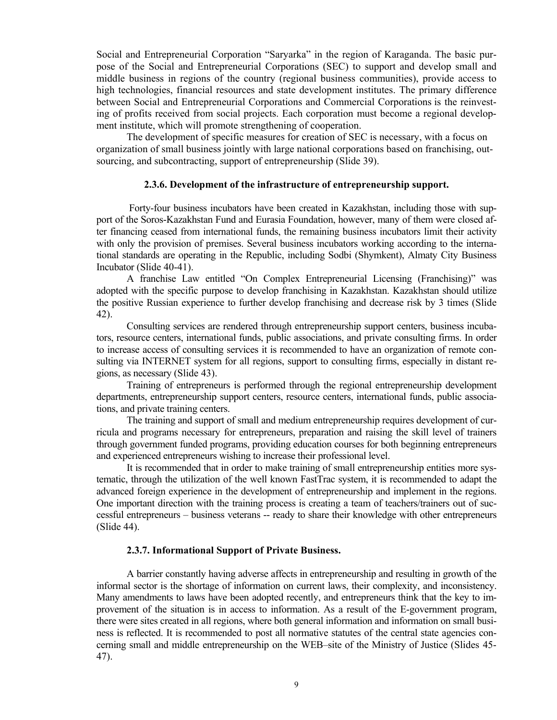Social and Entrepreneurial Corporation "Saryarka" in the region of Karaganda. The basic purpose of the Social and Entrepreneurial Corporations (SEC) to support and develop small and middle business in regions of the country (regional business communities), provide access to high technologies, financial resources and state development institutes. The primary difference between Social and Entrepreneurial Corporations and Commercial Corporations is the reinvesting of profits received from social projects. Each corporation must become a regional development institute, which will promote strengthening of cooperation.

The development of specific measures for creation of SEC is necessary, with a focus on organization of small business jointly with large national corporations based on franchising, outsourcing, and subcontracting, support of entrepreneurship (Slide 39).

## **2.3.6. Development of the infrastructure of entrepreneurship support.**

 Forty-four business incubators have been created in Kazakhstan, including those with support of the Soros-Kazakhstan Fund and Eurasia Foundation, however, many of them were closed after financing ceased from international funds, the remaining business incubators limit their activity with only the provision of premises. Several business incubators working according to the international standards are operating in the Republic, including Sodbi (Shymkent), Almaty City Business Incubator (Slide 40-41).

A franchise Law entitled "On Complex Entrepreneurial Licensing (Franchising)" was adopted with the specific purpose to develop franchising in Kazakhstan. Kazakhstan should utilize the positive Russian experience to further develop franchising and decrease risk by 3 times (Slide 42).

Consulting services are rendered through entrepreneurship support centers, business incubators, resource centers, international funds, public associations, and private consulting firms. In order to increase access of consulting services it is recommended to have an organization of remote consulting via INTERNET system for all regions, support to consulting firms, especially in distant regions, as necessary (Slide 43).

Training of entrepreneurs is performed through the regional entrepreneurship development departments, entrepreneurship support centers, resource centers, international funds, public associations, and private training centers.

The training and support of small and medium entrepreneurship requires development of curricula and programs necessary for entrepreneurs, preparation and raising the skill level of trainers through government funded programs, providing education courses for both beginning entrepreneurs and experienced entrepreneurs wishing to increase their professional level.

It is recommended that in order to make training of small entrepreneurship entities more systematic, through the utilization of the well known FastTrac system, it is recommended to adapt the advanced foreign experience in the development of entrepreneurship and implement in the regions. One important direction with the training process is creating a team of teachers/trainers out of successful entrepreneurs – business veterans -- ready to share their knowledge with other entrepreneurs (Slide 44).

# **2.3.7. Informational Support of Private Business.**

A barrier constantly having adverse affects in entrepreneurship and resulting in growth of the informal sector is the shortage of information on current laws, their complexity, and inconsistency. Many amendments to laws have been adopted recently, and entrepreneurs think that the key to improvement of the situation is in access to information. As a result of the E-government program, there were sites created in all regions, where both general information and information on small business is reflected. It is recommended to post all normative statutes of the central state agencies concerning small and middle entrepreneurship on the WEB–site of the Ministry of Justice (Slides 45- 47).